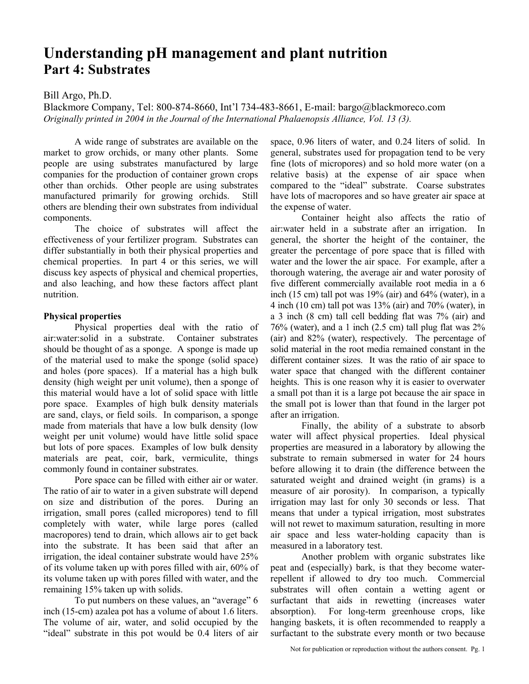# **Understanding pH management and plant nutrition Part 4: Substrates**

# Bill Argo, Ph.D.

Blackmore Company, Tel: 800-874-8660, Int'l 734-483-8661, E-mail: bargo@blackmoreco.com *Originally printed in 2004 in the Journal of the International Phalaenopsis Alliance, Vol. 13 (3).* 

 A wide range of substrates are available on the market to grow orchids, or many other plants. Some people are using substrates manufactured by large companies for the production of container grown crops other than orchids. Other people are using substrates manufactured primarily for growing orchids. Still others are blending their own substrates from individual components.

 The choice of substrates will affect the effectiveness of your fertilizer program. Substrates can differ substantially in both their physical properties and chemical properties. In part 4 or this series, we will discuss key aspects of physical and chemical properties, and also leaching, and how these factors affect plant nutrition.

#### **Physical properties**

 Physical properties deal with the ratio of air:water:solid in a substrate. Container substrates should be thought of as a sponge. A sponge is made up of the material used to make the sponge (solid space) and holes (pore spaces). If a material has a high bulk density (high weight per unit volume), then a sponge of this material would have a lot of solid space with little pore space. Examples of high bulk density materials are sand, clays, or field soils. In comparison, a sponge made from materials that have a low bulk density (low weight per unit volume) would have little solid space but lots of pore spaces. Examples of low bulk density materials are peat, coir, bark, vermiculite, things commonly found in container substrates.

 Pore space can be filled with either air or water. The ratio of air to water in a given substrate will depend on size and distribution of the pores. During an irrigation, small pores (called micropores) tend to fill completely with water, while large pores (called macropores) tend to drain, which allows air to get back into the substrate. It has been said that after an irrigation, the ideal container substrate would have 25% of its volume taken up with pores filled with air, 60% of its volume taken up with pores filled with water, and the remaining 15% taken up with solids.

 To put numbers on these values, an "average" 6 inch (15-cm) azalea pot has a volume of about 1.6 liters. The volume of air, water, and solid occupied by the "ideal" substrate in this pot would be 0.4 liters of air space, 0.96 liters of water, and 0.24 liters of solid. In general, substrates used for propagation tend to be very fine (lots of micropores) and so hold more water (on a relative basis) at the expense of air space when compared to the "ideal" substrate. Coarse substrates have lots of macropores and so have greater air space at the expense of water.

 Container height also affects the ratio of air:water held in a substrate after an irrigation. In general, the shorter the height of the container, the greater the percentage of pore space that is filled with water and the lower the air space. For example, after a thorough watering, the average air and water porosity of five different commercially available root media in a 6 inch (15 cm) tall pot was 19% (air) and 64% (water), in a 4 inch (10 cm) tall pot was  $13\%$  (air) and  $70\%$  (water), in a 3 inch (8 cm) tall cell bedding flat was 7% (air) and 76% (water), and a 1 inch (2.5 cm) tall plug flat was 2% (air) and 82% (water), respectively. The percentage of solid material in the root media remained constant in the different container sizes. It was the ratio of air space to water space that changed with the different container heights. This is one reason why it is easier to overwater a small pot than it is a large pot because the air space in the small pot is lower than that found in the larger pot after an irrigation.

 Finally, the ability of a substrate to absorb water will affect physical properties. Ideal physical properties are measured in a laboratory by allowing the substrate to remain submersed in water for 24 hours before allowing it to drain (the difference between the saturated weight and drained weight (in grams) is a measure of air porosity). In comparison, a typically irrigation may last for only 30 seconds or less. That means that under a typical irrigation, most substrates will not rewet to maximum saturation, resulting in more air space and less water-holding capacity than is measured in a laboratory test.

 Another problem with organic substrates like peat and (especially) bark, is that they become waterrepellent if allowed to dry too much. Commercial substrates will often contain a wetting agent or surfactant that aids in rewetting (increases water absorption). For long-term greenhouse crops, like hanging baskets, it is often recommended to reapply a surfactant to the substrate every month or two because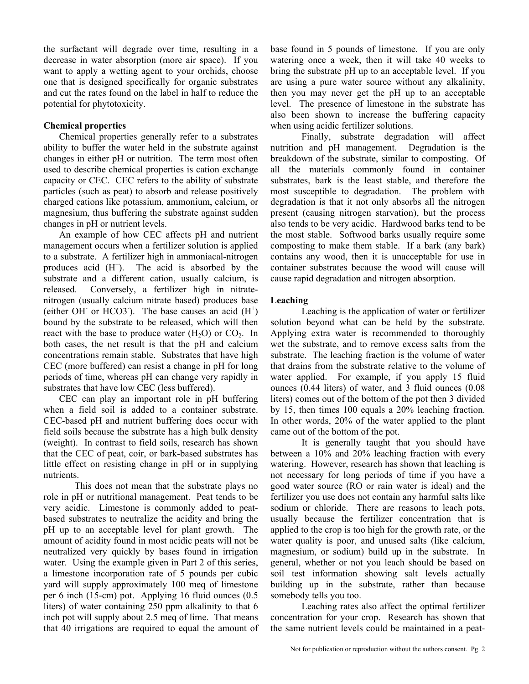the surfactant will degrade over time, resulting in a decrease in water absorption (more air space). If you want to apply a wetting agent to your orchids, choose one that is designed specifically for organic substrates and cut the rates found on the label in half to reduce the potential for phytotoxicity.

# **Chemical properties**

 Chemical properties generally refer to a substrates ability to buffer the water held in the substrate against changes in either pH or nutrition. The term most often used to describe chemical properties is cation exchange capacity or CEC. CEC refers to the ability of substrate particles (such as peat) to absorb and release positively charged cations like potassium, ammonium, calcium, or magnesium, thus buffering the substrate against sudden changes in pH or nutrient levels.

An example of how CEC affects pH and nutrient management occurs when a fertilizer solution is applied to a substrate. A fertilizer high in ammoniacal-nitrogen produces acid  $(H<sup>+</sup>)$ . The acid is absorbed by the substrate and a different cation, usually calcium, is released. Conversely, a fertilizer high in nitratenitrogen (usually calcium nitrate based) produces base (either OH or HCO3). The base causes an acid  $(H<sup>+</sup>)$ bound by the substrate to be released, which will then react with the base to produce water  $(H<sub>2</sub>O)$  or  $CO<sub>2</sub>$ . In both cases, the net result is that the pH and calcium concentrations remain stable. Substrates that have high CEC (more buffered) can resist a change in pH for long periods of time, whereas pH can change very rapidly in substrates that have low CEC (less buffered).

 CEC can play an important role in pH buffering when a field soil is added to a container substrate. CEC-based pH and nutrient buffering does occur with field soils because the substrate has a high bulk density (weight). In contrast to field soils, research has shown that the CEC of peat, coir, or bark-based substrates has little effect on resisting change in pH or in supplying nutrients.

 This does not mean that the substrate plays no role in pH or nutritional management. Peat tends to be very acidic. Limestone is commonly added to peatbased substrates to neutralize the acidity and bring the pH up to an acceptable level for plant growth. The amount of acidity found in most acidic peats will not be neutralized very quickly by bases found in irrigation water. Using the example given in Part 2 of this series, a limestone incorporation rate of 5 pounds per cubic yard will supply approximately 100 meq of limestone per 6 inch (15-cm) pot. Applying 16 fluid ounces (0.5 liters) of water containing 250 ppm alkalinity to that 6 inch pot will supply about 2.5 meq of lime. That means that 40 irrigations are required to equal the amount of base found in 5 pounds of limestone. If you are only watering once a week, then it will take 40 weeks to bring the substrate pH up to an acceptable level. If you are using a pure water source without any alkalinity, then you may never get the pH up to an acceptable level. The presence of limestone in the substrate has also been shown to increase the buffering capacity when using acidic fertilizer solutions.

 Finally, substrate degradation will affect nutrition and pH management. Degradation is the breakdown of the substrate, similar to composting. Of all the materials commonly found in container substrates, bark is the least stable, and therefore the most susceptible to degradation. The problem with degradation is that it not only absorbs all the nitrogen present (causing nitrogen starvation), but the process also tends to be very acidic. Hardwood barks tend to be the most stable. Softwood barks usually require some composting to make them stable. If a bark (any bark) contains any wood, then it is unacceptable for use in container substrates because the wood will cause will cause rapid degradation and nitrogen absorption.

#### **Leaching**

 Leaching is the application of water or fertilizer solution beyond what can be held by the substrate. Applying extra water is recommended to thoroughly wet the substrate, and to remove excess salts from the substrate. The leaching fraction is the volume of water that drains from the substrate relative to the volume of water applied. For example, if you apply 15 fluid ounces (0.44 liters) of water, and 3 fluid ounces (0.08 liters) comes out of the bottom of the pot then 3 divided by 15, then times 100 equals a 20% leaching fraction. In other words, 20% of the water applied to the plant came out of the bottom of the pot.

 It is generally taught that you should have between a 10% and 20% leaching fraction with every watering. However, research has shown that leaching is not necessary for long periods of time if you have a good water source (RO or rain water is ideal) and the fertilizer you use does not contain any harmful salts like sodium or chloride. There are reasons to leach pots, usually because the fertilizer concentration that is applied to the crop is too high for the growth rate, or the water quality is poor, and unused salts (like calcium, magnesium, or sodium) build up in the substrate. In general, whether or not you leach should be based on soil test information showing salt levels actually building up in the substrate, rather than because somebody tells you too.

 Leaching rates also affect the optimal fertilizer concentration for your crop. Research has shown that the same nutrient levels could be maintained in a peat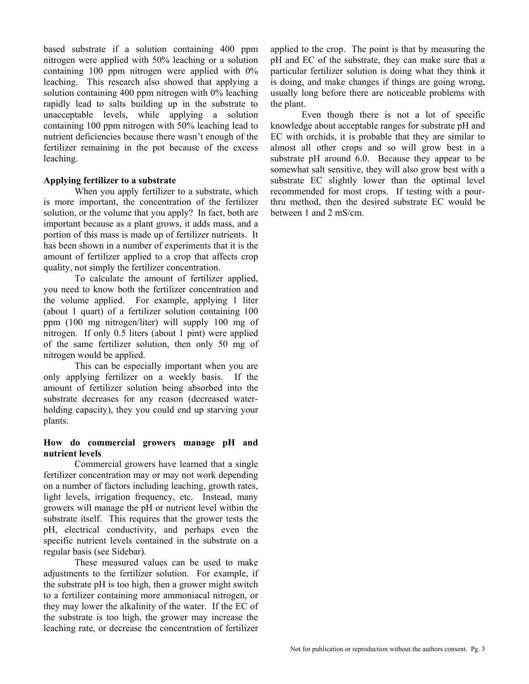based substrate if a solution containing 400 ppm nitrogen were applied with 50% leaching or a solution containing 100 ppm nitrogen were applied with 0% leaching. This research also showed that applying a solution containing 400 ppm nitrogen with 0% leaching rapidly lead to salts building up in the substrate to unacceptable levels, while applying a solution containing 100 ppm nitrogen with 50% leaching lead to nutrient deficiencies because there wasn't enough of the fertilizer remaining in the pot because of the excess leaching.

# **Applying fertilizer to a substrate**

When you apply fertilizer to a substrate, which is more important, the concentration of the fertilizer solution, or the volume that you apply? In fact, both are important because as a plant grows, it adds mass, and a portion of this mass is made up of fertilizer nutrients. It has been shown in a number of experiments that it is the amount of fertilizer applied to a crop that affects crop quality, not simply the fertilizer concentration.

 To calculate the amount of fertilizer applied, you need to know both the fertilizer concentration and the volume applied. For example, applying 1 liter (about 1 quart) of a fertilizer solution containing 100 ppm (100 mg nitrogen/liter) will supply 100 mg of nitrogen. If only 0.5 liters (about 1 pint) were applied of the same fertilizer solution, then only 50 mg of nitrogen would be applied.

 This can be especially important when you are only applying fertilizer on a weekly basis. If the amount of fertilizer solution being absorbed into the substrate decreases for any reason (decreased waterholding capacity), they you could end up starving your plants.

# **How do commercial growers manage pH and nutrient levels**

 Commercial growers have learned that a single fertilizer concentration may or may not work depending on a number of factors including leaching, growth rates, light levels, irrigation frequency, etc. Instead, many growers will manage the pH or nutrient level within the substrate itself. This requires that the grower tests the pH, electrical conductivity, and perhaps even the specific nutrient levels contained in the substrate on a regular basis (see Sidebar).

 These measured values can be used to make adjustments to the fertilizer solution. For example, if the substrate pH is too high, then a grower might switch to a fertilizer containing more ammoniacal nitrogen, or they may lower the alkalinity of the water. If the EC of the substrate is too high, the grower may increase the leaching rate, or decrease the concentration of fertilizer

applied to the crop. The point is that by measuring the pH and EC of the substrate, they can make sure that a particular fertilizer solution is doing what they think it is doing, and make changes if things are going wrong, usually long before there are noticeable problems with the plant.

 Even though there is not a lot of specific knowledge about acceptable ranges for substrate pH and EC with orchids, it is probable that they are similar to almost all other crops and so will grow best in a substrate pH around 6.0. Because they appear to be somewhat salt sensitive, they will also grow best with a substrate EC slightly lower than the optimal level recommended for most crops. If testing with a pourthru method, then the desired substrate EC would be between 1 and 2 mS/cm.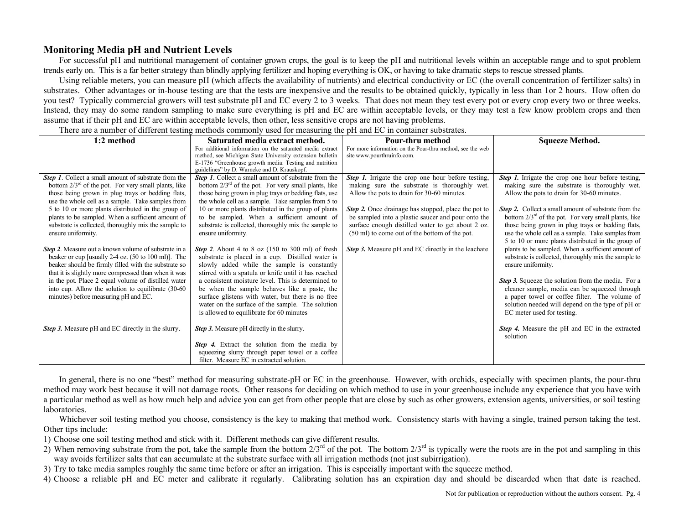# **Monitoring Media pH and Nutrient Levels**

For successful pH and nutritional management of container grown crops, the goal is to keep the pH and nutritional levels within an acceptable range and to spot problem trends early on. This is a far better strategy than blindly applying fertilizer and hoping everything is OK, or having to take dramatic steps to rescue stressed plants.

Using reliable meters, you can measure pH (which affects the availability of nutrients) and electrical conductivity or EC (the overall concentration of fertilizer salts) in substrates. Other advantages or in-house testing are that the tests are inexpensive and the results to be obtained quickly, typically in less than 1or 2 hours. How often do you test? Typically commercial growers will test substrate pH and EC every 2 to 3 weeks. That does not mean they test every pot or every crop every two or three weeks. Instead, they may do some random sampling to make sure everything is pH and EC are within acceptable levels, or they may test a few know problem crops and then assume that if their pH and EC are within acceptable levels, then other, less sensitive crops are not having problems.

There are a number of different testing methods commonly used for measuring the pH and EC in container substrates.

| 1:2 method                                                                                                     | Saturated media extract method.                                                                                    | Pour-thru method                                                                           | <b>Squeeze Method.</b>                                                                     |
|----------------------------------------------------------------------------------------------------------------|--------------------------------------------------------------------------------------------------------------------|--------------------------------------------------------------------------------------------|--------------------------------------------------------------------------------------------|
|                                                                                                                | For additional information on the saturated media extract                                                          | For more information on the Pour-thru method, see the web                                  |                                                                                            |
|                                                                                                                | method, see Michigan State University extension bulletin                                                           | site www.pourthruinfo.com.                                                                 |                                                                                            |
|                                                                                                                | E-1736 "Greenhouse growth media: Testing and nutrition                                                             |                                                                                            |                                                                                            |
|                                                                                                                | guidelines" by D. Warncke and D. Krauskopf.<br><b>Step 1.</b> Collect a small amount of substrate from the         |                                                                                            |                                                                                            |
| <b>Step 1.</b> Collect a small amount of substrate from the                                                    |                                                                                                                    | <b>Step 1.</b> Irrigate the crop one hour before testing,                                  | <b>Step 1.</b> Irrigate the crop one hour before testing,                                  |
| bottom $2/3^{rd}$ of the pot. For very small plants, like<br>those being grown in plug trays or bedding flats, | bottom $2/3^{rd}$ of the pot. For very small plants, like<br>those being grown in plug trays or bedding flats, use | making sure the substrate is thoroughly wet.<br>Allow the pots to drain for 30-60 minutes. | making sure the substrate is thoroughly wet.<br>Allow the pots to drain for 30-60 minutes. |
| use the whole cell as a sample. Take samples from                                                              | the whole cell as a sample. Take samples from 5 to                                                                 |                                                                                            |                                                                                            |
| 5 to 10 or more plants distributed in the group of                                                             | 10 or more plants distributed in the group of plants                                                               | Step 2. Once drainage has stopped, place the pot to                                        | <b>Step 2.</b> Collect a small amount of substrate from the                                |
| plants to be sampled. When a sufficient amount of                                                              | to be sampled. When a sufficient amount of                                                                         | be sampled into a plastic saucer and pour onto the                                         | bottom $2/3^{rd}$ of the pot. For very small plants, like                                  |
| substrate is collected, thoroughly mix the sample to                                                           | substrate is collected, thoroughly mix the sample to                                                               | surface enough distilled water to get about 2 oz.                                          | those being grown in plug trays or bedding flats,                                          |
| ensure uniformity.                                                                                             | ensure uniformity.                                                                                                 | (50 ml) to come out of the bottom of the pot.                                              | use the whole cell as a sample. Take samples from                                          |
|                                                                                                                |                                                                                                                    |                                                                                            | 5 to 10 or more plants distributed in the group of                                         |
| <b>Step 2.</b> Measure out a known volume of substrate in a                                                    | <b>Step 2.</b> About 4 to 8 oz $(150 \text{ to } 300 \text{ ml})$ of fresh                                         | <b>Step 3.</b> Measure pH and EC directly in the leachate                                  | plants to be sampled. When a sufficient amount of                                          |
| beaker or cup [usually $2-4$ oz. $(50 \text{ to } 100 \text{ ml})$ ]. The                                      | substrate is placed in a cup. Distilled water is                                                                   |                                                                                            | substrate is collected, thoroughly mix the sample to                                       |
| beaker should be firmly filled with the substrate so                                                           | slowly added while the sample is constantly                                                                        |                                                                                            | ensure uniformity.                                                                         |
| that it is slightly more compressed than when it was                                                           | stirred with a spatula or knife until it has reached                                                               |                                                                                            |                                                                                            |
| in the pot. Place 2 equal volume of distilled water                                                            | a consistent moisture level. This is determined to                                                                 |                                                                                            | <b>Step 3.</b> Squeeze the solution from the media. For a                                  |
| into cup. Allow the solution to equilibrate (30-60                                                             | be when the sample behaves like a paste, the                                                                       |                                                                                            | cleaner sample, media can be squeezed through                                              |
| minutes) before measuring pH and EC.                                                                           | surface glistens with water, but there is no free                                                                  |                                                                                            | a paper towel or coffee filter. The volume of                                              |
|                                                                                                                | water on the surface of the sample. The solution                                                                   |                                                                                            | solution needed will depend on the type of pH or                                           |
|                                                                                                                | is allowed to equilibrate for 60 minutes                                                                           |                                                                                            | EC meter used for testing.                                                                 |
|                                                                                                                |                                                                                                                    |                                                                                            |                                                                                            |
| <b>Step 3.</b> Measure pH and EC directly in the slurry.                                                       | Step 3. Measure pH directly in the slurry.                                                                         |                                                                                            | <b>Step 4.</b> Measure the pH and EC in the extracted                                      |
|                                                                                                                |                                                                                                                    |                                                                                            | solution                                                                                   |
|                                                                                                                | <b>Step 4.</b> Extract the solution from the media by                                                              |                                                                                            |                                                                                            |
|                                                                                                                | squeezing slurry through paper towel or a coffee                                                                   |                                                                                            |                                                                                            |
|                                                                                                                | filter. Measure EC in extracted solution.                                                                          |                                                                                            |                                                                                            |

In general, there is no one "best" method for measuring substrate-pH or EC in the greenhouse. However, with orchids, especially with specimen plants, the pour-thru method may work best because it will not damage roots. Other reasons for deciding on which method to use in your greenhouse include any experience that you have with a particular method as well as how much help and advice you can get from other people that are close by such as other growers, extension agents, universities, or soil testing laboratories.

Whichever soil testing method you choose, consistency is the key to making that method work. Consistency starts with having a single, trained person taking the test. Other tips include:

1) Choose one soil testing method and stick with it. Different methods can give different results.

2) When removing substrate from the pot, take the sample from the bottom  $2/3^{rd}$  of the pot. The bottom  $2/3^{rd}$  is typically were the roots are in the pot and sampling in this way avoids fertilizer salts that can accumulate at the substrate surface with all irrigation methods (not just subirrigation).

3) Try to take media samples roughly the same time before or after an irrigation. This is especially important with the squeeze method.

4) Choose a reliable pH and EC meter and calibrate it regularly. Calibrating solution has an expiration day and should be discarded when that date is reached.